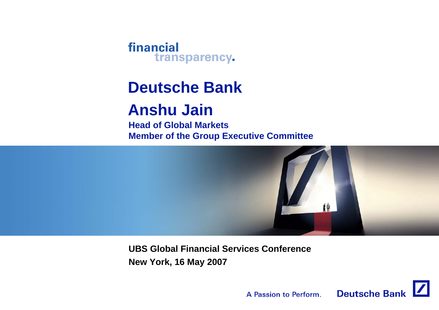financial transparency.

## **Deutsche Bank**

## **Anshu Jain**

**Head of Global MarketsMember of the Group Executive Committee**



**UBS Global Financial Services ConferenceNew York, 16 May 2007**

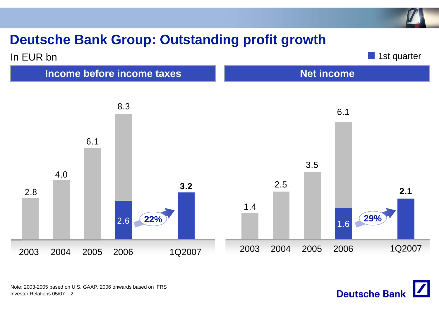#### **Deutsche Bank Group: Outstanding profit growth**





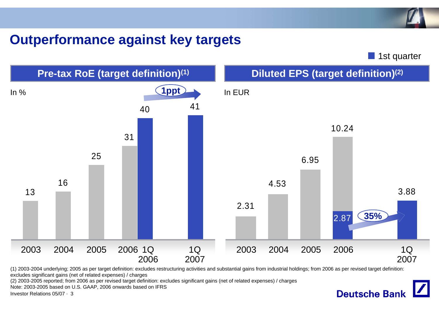#### **Outperformance against key targets**

**1st quarter** 

**Deutsche Bank** 



(1) 2003-2004 underlying; 2005 as per target definition: excludes restructuring activities and substantial gains from industrial holdings; from 2006 as per revised target definition: excludes significant gains (net of related expenses) / charges

(2) 2003-2005 reported; from 2006 as per revised target definition: excludes significant gains (net of related expenses) / charges

Note: 2003-2005 based on U.S. GAAP, 2006 onwards based on IFRS

Investor Relations 05/07 · 3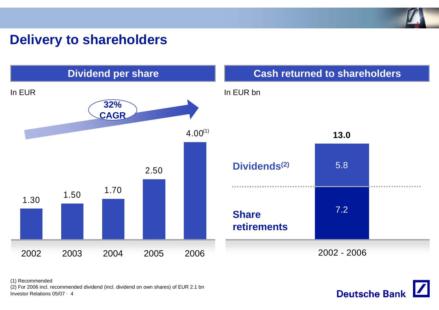

#### **Delivery to shareholders**





Investor Relations 05/07 · 4 (1) Recommended (2) For 2006 incl. recommended dividend (incl. dividend on own shares) of EUR 2.1 bn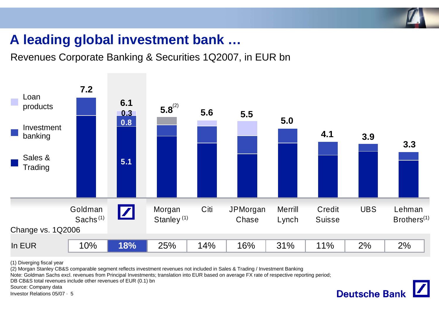

#### **A leading global investment bank …**

Revenues Corporate Banking & Securities 1Q2007, in EUR bn



(1) Diverging fiscal year

(2) Morgan Stanley CB&S comparable segment reflects investment revenues not included in Sales & Trading / Investment Banking

Note: Goldman Sachs excl. revenues from Principal Investments; translation into EUR based on average FX rate of respective reporting period;

DB CB&S total revenues include other revenues of EUR (0.1) bn

Source: Company data

Investor Relations 05/07 · 5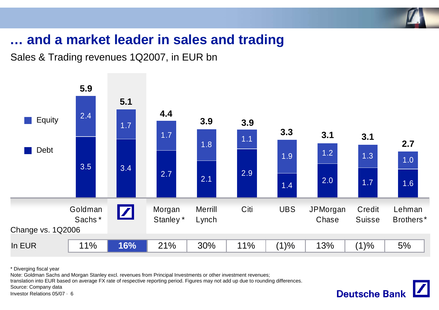

**Deutsche Bank** 

#### **… and a market leader in sales and trading**

Sales & Trading revenues 1Q2007, in EUR bn



\* Diverging fiscal year

Note: Goldman Sachs and Morgan Stanley excl. revenues from Principal Investments or other investment revenues;

translation into EUR based on average FX rate of respective reporting period. Figures may not add up due to rounding differences.

Source: Company data

Investor Relations 05/07 · 6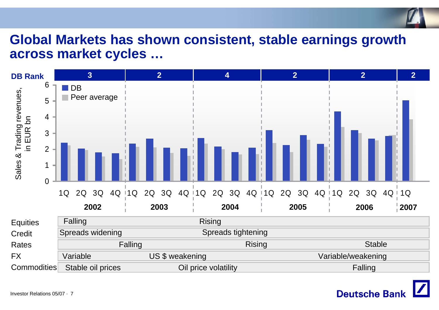# **Global Markets has shown consistent, stable earnings growth across market cycles …**



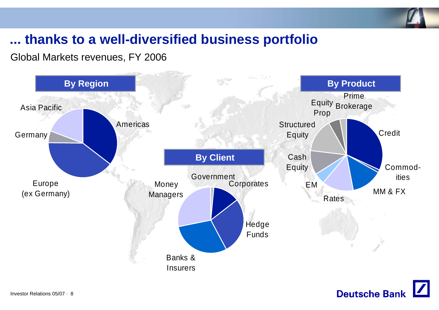

#### **... thanks to a well-diversified business portfolio**

Global Markets revenues, FY 2006



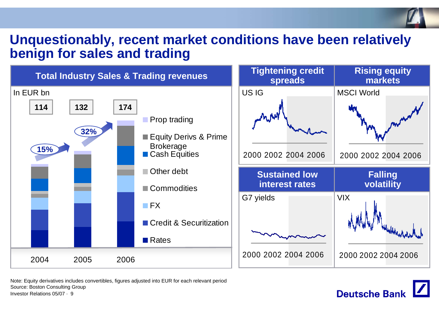#### **Unquestionably, recent market conditions have been relatively benign for sales and trading**



**Deutsche Bank** 

Investor Relations 05/07 · 9Note: Equity derivatives includes convertibles, figures adjusted into EUR for each relevant period Source: Boston Consulting Group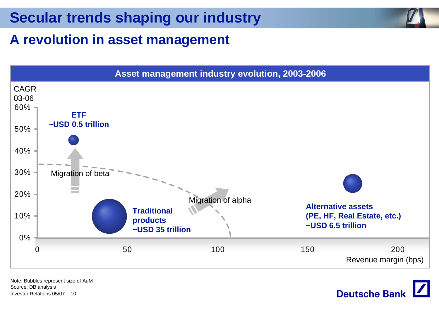#### **A revolution in asset management**



Investor Relations 05/07 · 10Note: Bubbles represent size of AuM Source: DB analysis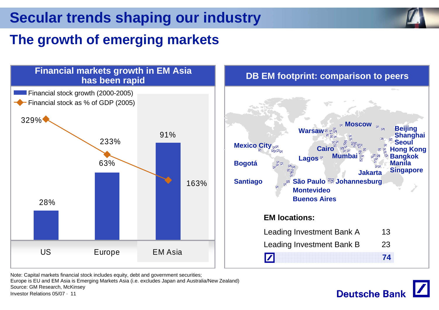#### **The growth of emerging markets**





Note: Capital markets financial stock includes equity, debt and government securities;

Investor Relations 05/07 · 11Europe is EU and EM Asia is Emerging Markets Asia (i.e. excludes Japan and Australia/New Zealand) Source: GM Research, McKinsey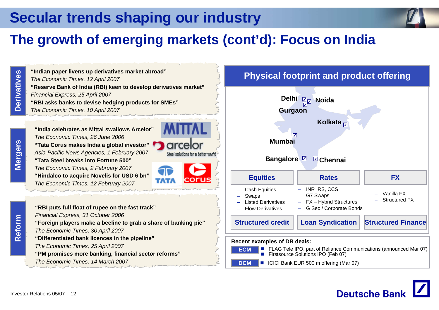#### **The growth of emerging markets (cont'd): Focus on India**

**Derivatives Derivatives**

**"Reserve Bank of India (RBI) keen to develop derivatives market"** *Financial Express, 25 April 2007* **"RBI asks banks to devise hedging products for SMEs"** *The Economic Times, 10 April 2007* **"India celebrates as Mittal swallows Arcelor"***The Economic Times, 26 June 2006* **"Tata Corus makes India a global investor"** *Asia-Pacific News Agencies, 1 February 2007* **"Tata Steel breaks into Fortune 500"** *The Economic Times, 2 February 2007*

**"Indian paper livens up derivatives market abroad"**

*The Economic Times, 12 April 2007*

**"Hindalco to acquire Novelis for USD 6 bn"** *The Economic Times, 12 February 2007*



#### **Physical footprint and product offering**



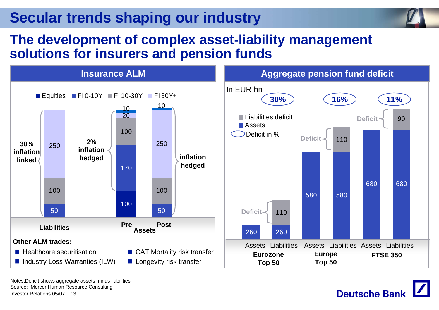

#### **The development of complex asset-liability management solutions for insurers and pension funds**



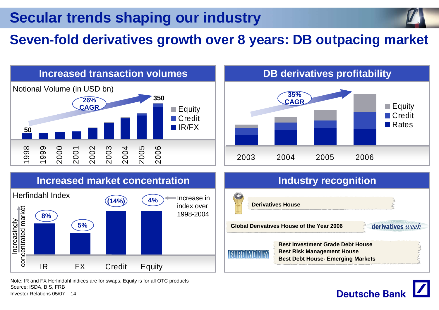#### **Seven-fold derivatives growth over 8 years: DB outpacing market**



**Deutsche Banl** 

Note: IR and FX Herfindahl indices are for swaps, Equity is for all OTC products Source: ISDA, BIS, FRB

Investor Relations 05/07 · 14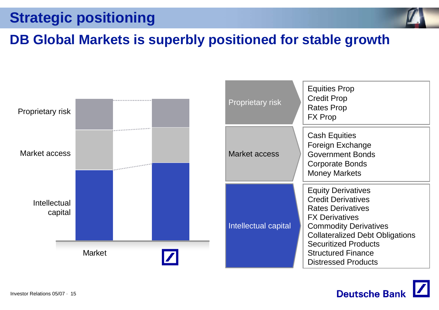## **Strategic positioning**



#### **DB Global Markets is superbly positioned for stable growth**



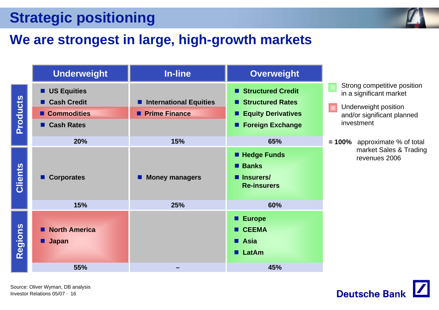## **Strategic positioning**

#### **We are strongest in large, high-growth markets**



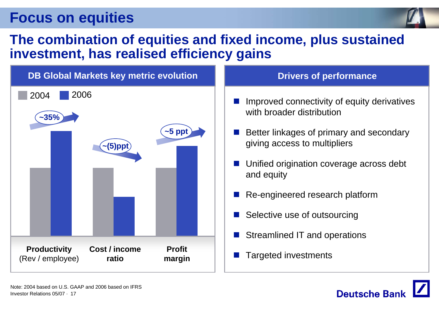

#### **The combination of equities and fixed income, plus sustained investment, has realised efficiency gains**



- $\mathbb{R}^2$  Improved connectivity of equity derivatives with broader distribution
- $\mathbb{R}^2$  Better linkages of primary and secondary giving access to multipliers
- L. Unified origination coverage across debt and equity
- $\mathbb{R}^2$ Re-engineered research platform
- $\mathbb{R}^2$ Selective use of outsourcing
- $\mathbb{R}^2$ Streamlined IT and operations
- $\mathbb{R}^2$

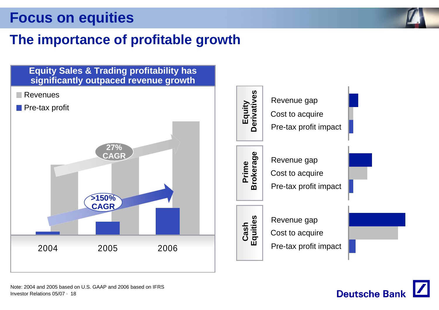

#### **The importance of profitable growth**



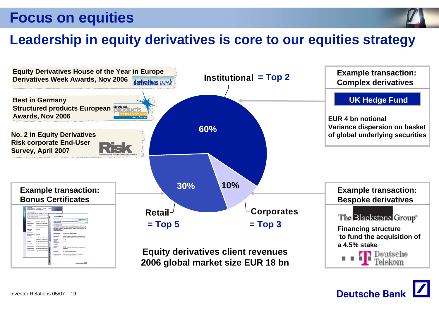

#### **Leadership in equity derivatives is core to our equities strategy**



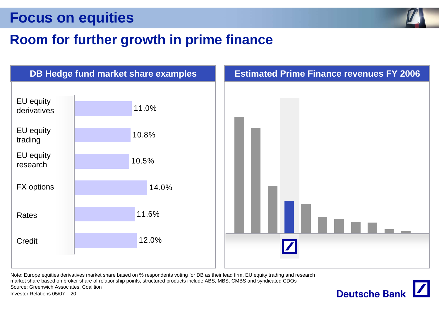

#### **Room for further growth in prime finance**



Investor Relations 05/07 · 20Note: Europe equities derivatives market share based on % respondents voting for DB as their lead firm, EU equity trading and research market share based on broker share of relationship points, structured products include ABS, MBS, CMBS and syndicated CDOs Source: Greenwich Associates, Coalition

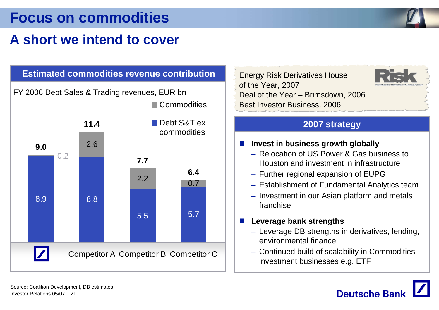#### **Focus on commodities**

## **A short we intend to cover**



Energy Risk Derivatives House of the Year, 2007 Deal of the Year – Brimsdown, 2006 Best Investor Business, 2006



#### **2007 strategy**

- a sa **Invest in business growth globally**
	- Relocation of US Power & Gas business to Houston and investment in infrastructure
	- Further regional expansion of EUPG
	- Establishment of Fundamental Analytics team
	- Investment in our Asian platform and metals franchise

#### **Leverage bank strengths**

- Leverage DB strengths in derivatives, lending, environmental finance
- Continued build of scalability in Commodities investment businesses e.g. ETF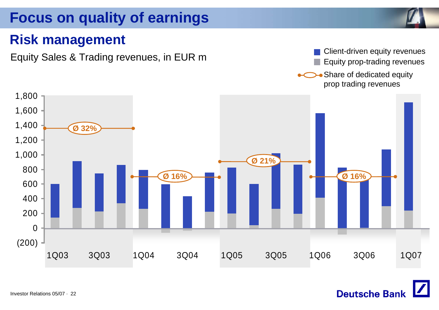### **Focus on quality of earnings**



#### **Risk management**

Equity Sales & Trading revenues, in EUR m<br>Equity prop-trading revenues Equity prop-trading revenues

**Deutsche Bank** 

• Share of dedicated equity prop trading revenues

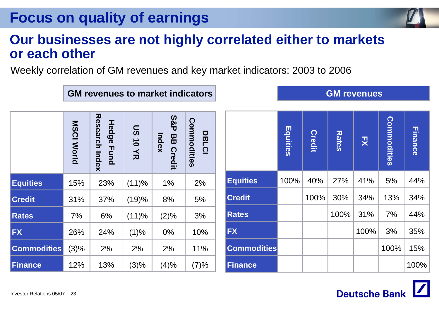### **Focus on quality of earnings**

#### **Our businesses are not highly correlated either to markets or each other**

Weekly correlation of GM revenues and key market indicators: 2003 to 2006

|                    | <b>MSCI World</b> | <b>Research Index</b><br>Hedge Fund | <b>US10YR</b> | <b>S&amp;P</b><br>Index<br>88<br><b>Credit</b> | Commodities<br><b>DBLCI</b> |
|--------------------|-------------------|-------------------------------------|---------------|------------------------------------------------|-----------------------------|
| <b>Equities</b>    | 15%               | 23%                                 | (11)%         | 1%                                             | 2%                          |
| <b>Credit</b>      | 31%               | 37%                                 | (19)%         | 8%                                             | 5%                          |
| <b>Rates</b>       | 7%                | 6%                                  | (11)%         | (2)%                                           | 3%                          |
| <b>FX</b>          | 26%               | 24%                                 | (1)%          | 0%                                             | 10%                         |
| <b>Commodities</b> | (3)%              | 2%                                  | 2%            | 2%                                             | 11%                         |
| <b>Finance</b>     | 12%               | 13%                                 | (3)%          | (4)%                                           | (7)%                        |

**GM revenues to market indicators**

|                    | Equities | <b>Credit</b> | <b>Rates</b> | 끗    | Commodities | <b>Finance</b> |
|--------------------|----------|---------------|--------------|------|-------------|----------------|
| <b>Equities</b>    | 100%     | 40%           | 27%          | 41%  | 5%          | 44%            |
| <b>Credit</b>      |          | 100%          | 30%          | 34%  | 13%         | 34%            |
| <b>Rates</b>       |          |               | 100%         | 31%  | 7%          | 44%            |
| <b>FX</b>          |          |               |              | 100% | 3%          | 35%            |
| <b>Commodities</b> |          |               |              |      | 100%        | 15%            |
| <b>Finance</b>     |          |               |              |      |             | 100%           |



|                    | <b>Equities</b> | <b>Credit</b> | <b>Rates</b> | 굣    | Commodities | <b>Finance</b> |
|--------------------|-----------------|---------------|--------------|------|-------------|----------------|
| <b>Equities</b>    | 100%            | 40%           | 27%          | 41%  | 5%          | 44%            |
| <b>Credit</b>      |                 | 100%          | 30%          | 34%  | 13%         | 34%            |
| <b>Rates</b>       |                 |               | 100%         | 31%  | 7%          | 44%            |
| FX                 |                 |               |              | 100% | 3%          | 35%            |
| <b>Commodities</b> |                 |               |              |      | 100%        | 15%            |
| <b>Finance</b>     |                 |               |              |      |             | 100%           |

#### **GM revenues**

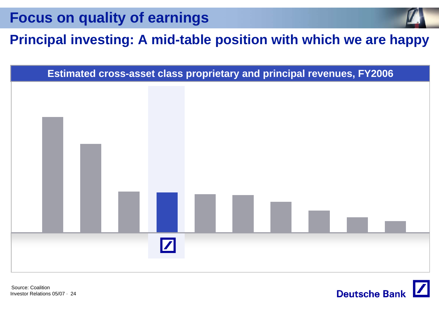**Focus on quality of earnings**

#### **Principal investing: A mid-table position with which we are happy**



Investor Relations 05/07 · 24Source: Coalition

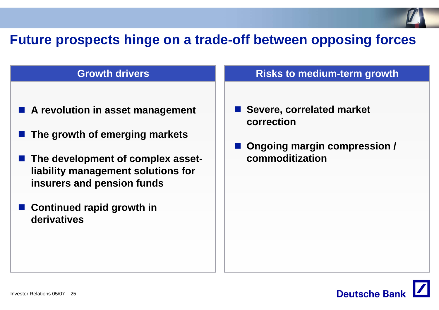#### **Future prospects hinge on a trade-off between opposing forces**

#### **Growth drivers**

- **A revolution in asset management**
- **The growth of emerging markets**
- The development of complex asset**liability management solutions for insurers and pension funds**
- **Continued rapid growth in derivatives**

#### **Risks to medium-term growth**

- Severe, correlated market **correction**
- **Ongoing margin compression / commoditization**